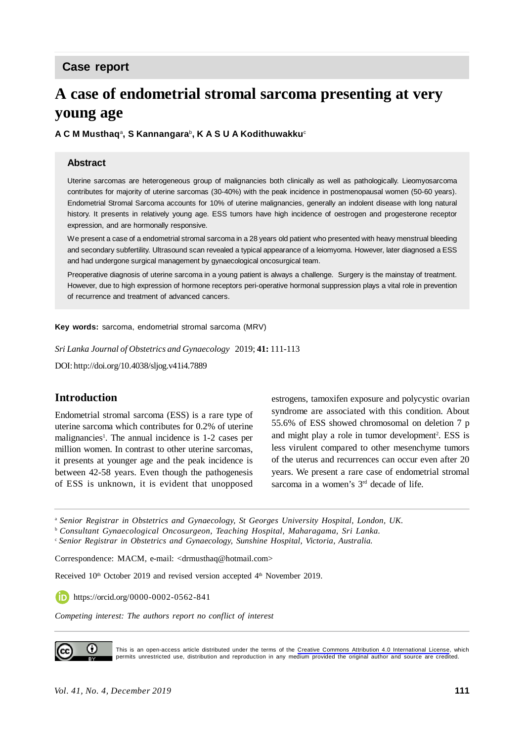# **A case of endometrial stromal sarcoma presenting at very young age**

**A C M Musthaq**<sup>a</sup> **, S Kannangara**<sup>b</sup> **, K A S U A Kodithuwakku**<sup>c</sup>

#### **Abstract**

Uterine sarcomas are heterogeneous group of malignancies both clinically as well as pathologically. Lieomyosarcoma contributes for majority of uterine sarcomas (30-40%) with the peak incidence in postmenopausal women (50-60 years). Endometrial Stromal Sarcoma accounts for 10% of uterine malignancies, generally an indolent disease with long natural history. It presents in relatively young age. ESS tumors have high incidence of oestrogen and progesterone receptor expression, and are hormonally responsive.

We present a case of a endometrial stromal sarcoma in a 28 years old patient who presented with heavy menstrual bleeding and secondary subfertility. Ultrasound scan revealed a typical appearance of a leiomyoma. However, later diagnosed a ESS and had undergone surgical management by gynaecological oncosurgical team.

Preoperative diagnosis of uterine sarcoma in a young patient is always a challenge. Surgery is the mainstay of treatment. However, due to high expression of hormone receptors peri-operative hormonal suppression plays a vital role in prevention of recurrence and treatment of advanced cancers.

**Key words:** sarcoma, endometrial stromal sarcoma (MRV)

*Sri Lanka Journal of Obstetrics and Gynaecology* 2019; **41:** 111-113

DOI: http://doi.org/10.4038/sljog.v41i4.7889

#### **Introduction**

Endometrial stromal sarcoma (ESS) is a rare type of uterine sarcoma which contributes for 0.2% of uterine malignancies<sup>1</sup>. The annual incidence is 1-2 cases per million women. In contrast to other uterine sarcomas, it presents at younger age and the peak incidence is between 42-58 years. Even though the pathogenesis of ESS is unknown, it is evident that unopposed estrogens, tamoxifen exposure and polycystic ovarian syndrome are associated with this condition. About 55.6% of ESS showed chromosomal on deletion 7 p and might play a role in tumor development<sup>2</sup>. ESS is less virulent compared to other mesenchyme tumors of the uterus and recurrences can occur even after 20 years. We present a rare case of endometrial stromal sarcoma in a women's  $3<sup>rd</sup>$  decade of life.

<sup>a</sup> *Senior Registrar in Obstetrics and Gynaecology, St Georges University Hospital, London, UK.*

<sup>b</sup> *Consultant Gynaecological Oncosurgeon, Teaching Hospital, Maharagama, Sri Lanka.*

<sup>c</sup>*Senior Registrar in Obstetrics and Gynaecology, Sunshine Hospital, Victoria, Australia.*

Correspondence: MACM, e-mail: <drmusthaq@hotmail.com>

Received 10<sup>th</sup> October 2019 and revised version accepted 4<sup>th</sup> November 2019.

https://orcid.org/0000-0002-0562-841

*Competing interest: The authors report no conflict of interest*



This is an open-access article distributed under the terms of the [Creative Commons Attribution 4.0 International License](https://creativecommons.org/licenses/by/4.0/), which permits unrestricted use, distribution and reproduction in any medium provided the original author and source are credited.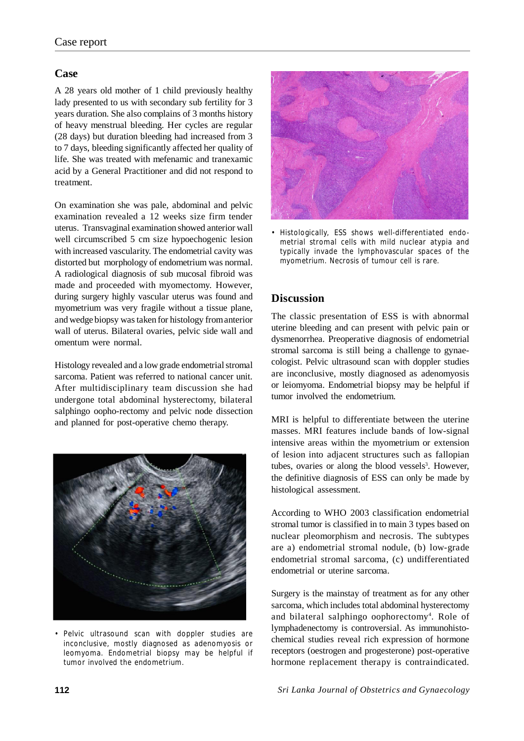#### **Case**

A 28 years old mother of 1 child previously healthy lady presented to us with secondary sub fertility for 3 years duration. She also complains of 3 months history of heavy menstrual bleeding. Her cycles are regular (28 days) but duration bleeding had increased from 3 to 7 days, bleeding significantly affected her quality of life. She was treated with mefenamic and tranexamic acid by a General Practitioner and did not respond to treatment.

On examination she was pale, abdominal and pelvic examination revealed a 12 weeks size firm tender uterus. Transvaginal examination showed anterior wall well circumscribed 5 cm size hypoechogenic lesion with increased vascularity. The endometrial cavity was distorted but morphology of endometrium was normal. A radiological diagnosis of sub mucosal fibroid was made and proceeded with myomectomy. However, during surgery highly vascular uterus was found and myometrium was very fragile without a tissue plane, and wedge biopsy was taken for histology from anterior wall of uterus. Bilateral ovaries, pelvic side wall and omentum were normal.

Histology revealed and a low grade endometrial stromal sarcoma. Patient was referred to national cancer unit. After multidisciplinary team discussion she had undergone total abdominal hysterectomy, bilateral salphingo oopho-rectomy and pelvic node dissection and planned for post-operative chemo therapy.



• Pelvic ultrasound scan with doppler studies are inconclusive, mostly diagnosed as adenomyosis or leomyoma. Endometrial biopsy may be helpful if tumor involved the endometrium.



• Histologically, ESS shows well-differentiated endometrial stromal cells with mild nuclear atypia and typically invade the lymphovascular spaces of the myometrium. Necrosis of tumour cell is rare.

## **Discussion**

The classic presentation of ESS is with abnormal uterine bleeding and can present with pelvic pain or dysmenorrhea. Preoperative diagnosis of endometrial stromal sarcoma is still being a challenge to gynaecologist. Pelvic ultrasound scan with doppler studies are inconclusive, mostly diagnosed as adenomyosis or leiomyoma. Endometrial biopsy may be helpful if tumor involved the endometrium.

MRI is helpful to differentiate between the uterine masses. MRI features include bands of low-signal intensive areas within the myometrium or extension of lesion into adjacent structures such as fallopian tubes, ovaries or along the blood vessels<sup>3</sup>. However, the definitive diagnosis of ESS can only be made by histological assessment.

According to WHO 2003 classification endometrial stromal tumor is classified in to main 3 types based on nuclear pleomorphism and necrosis. The subtypes are a) endometrial stromal nodule, (b) low-grade endometrial stromal sarcoma, (c) undifferentiated endometrial or uterine sarcoma.

Surgery is the mainstay of treatment as for any other sarcoma, which includes total abdominal hysterectomy and bilateral salphingo oophorectomy<sup>4</sup>. Role of lymphadenectomy is controversial. As immunohistochemical studies reveal rich expression of hormone receptors (oestrogen and progesterone) post-operative hormone replacement therapy is contraindicated.